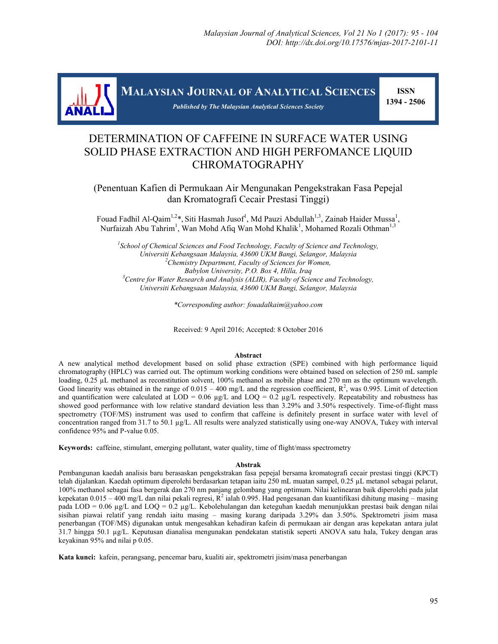

**MALAYSIAN JOURNAL OF ANALYTICAL SCIENCES**

*Published by The Malaysian Analytical Sciences Society*

 **ISSN 1394 - 2506**

# DETERMINATION OF CAFFEINE IN SURFACE WATER USING SOLID PHASE EXTRACTION AND HIGH PERFOMANCE LIQUID CHROMATOGRAPHY

(Penentuan Kafien di Permukaan Air Mengunakan Pengekstrakan Fasa Pepejal dan Kromatografi Cecair Prestasi Tinggi)

Fouad Fadhil Al-Qaim<sup>1,2\*</sup>, Siti Hasmah Jusof<sup>1</sup>, Md Pauzi Abdullah<sup>1,3</sup>, Zainab Haider Mussa<sup>1</sup>, Nurfaizah Abu Tahrim<sup>1</sup>, Wan Mohd Afiq Wan Mohd Khalik<sup>1</sup>, Mohamed Rozali Othman<sup>1,3</sup>

<sup>1</sup> School of Chemical Sciences and Food Technology, Faculty of Science and Technology, *Universiti Kebangsaan Malaysia, 43600 UKM Bangi, Selangor, Malaysia <sup>2</sup>Chemistry Department, Faculty of Sciences for Women, Babylon University, P.O. Box 4, Hilla, Iraq <sup>3</sup>Centre for Water Research and Analysis (ALIR), Faculty of Science and Technology, Universiti Kebangsaan Malaysia, 43600 UKM Bangi, Selangor, Malaysia*

*\*Corresponding author: fouadalkaim@yahoo.com*

Received: 9 April 2016; Accepted: 8 October 2016

#### **Abstract**

A new analytical method development based on solid phase extraction (SPE) combined with high performance liquid chromatography (HPLC) was carried out. The optimum working conditions were obtained based on selection of 250 mL sample loading, 0.25 µL methanol as reconstitution solvent, 100% methanol as mobile phase and 270 nm as the optimum wavelength. Good linearity was obtained in the range of  $0.015 - 400$  mg/L and the regression coefficient,  $R^2$ , was 0.995. Limit of detection and quantification were calculated at LOD = 0.06  $\mu$ g/L and LOQ = 0.2  $\mu$ g/L respectively. Repeatability and robustness has showed good performance with low relative standard deviation less than 3.29% and 3.50% respectively. Time-of-flight mass spectrometry (TOF/MS) instrument was used to confirm that caffeine is definitely present in surface water with level of concentration ranged from 31.7 to 50.1 µg/L. All results were analyzed statistically using one-way ANOVA, Tukey with interval confidence 95% and P-value 0.05.

**Keywords:** caffeine, stimulant, emerging pollutant, water quality, time of flight/mass spectrometry

#### **Abstrak**

Pembangunan kaedah analisis baru berasaskan pengekstrakan fasa pepejal bersama kromatografi cecair prestasi tinggi (KPCT) telah dijalankan. Kaedah optimum diperolehi berdasarkan tetapan iaitu 250 mL muatan sampel, 0.25 µL metanol sebagai pelarut, 100% methanol sebagai fasa bergerak dan 270 nm panjang gelombang yang optimum. Nilai kelinearan baik diperolehi pada julat kepekatan 0.015 – 400 mg/L dan nilai pekali regresi,  $R^2$ ialah 0.995. Had pengesanan dan kuantifikasi dihitung masing – masing pada LOD = 0.06 µg/L and LOQ = 0.2 µg/L. Kebolehulangan dan keteguhan kaedah menunjukkan prestasi baik dengan nilai sisihan piawai relatif yang rendah iaitu masing – masing kurang daripada 3.29% dan 3.50%. Spektrometri jisim masa penerbangan (TOF/MS) digunakan untuk mengesahkan kehadiran kafein di permukaan air dengan aras kepekatan antara julat 31.7 hingga 50.1 µg/L. Keputusan dianalisa mengunakan pendekatan statistik seperti ANOVA satu hala, Tukey dengan aras keyakinan 95% and nilai p 0.05.

**Kata kunci:** kafein, perangsang, pencemar baru, kualiti air, spektrometri jisim/masa penerbangan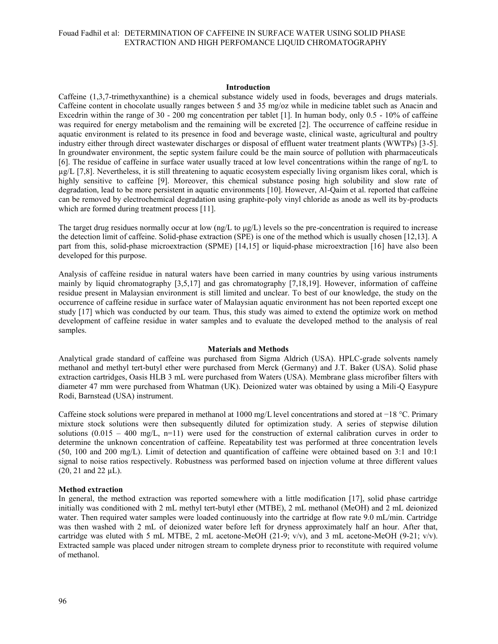#### **Introduction**

Caffeine (1,3,7-trimethyxanthine) is a chemical substance widely used in foods, beverages and drugs materials. Caffeine content in chocolate usually ranges between 5 and 35 mg/oz while in medicine tablet such as Anacin and Excedrin within the range of 30 - 200 mg concentration per tablet [1]. In human body, only 0.5 - 10% of caffeine was required for energy metabolism and the remaining will be excreted [2]. The occurrence of caffeine residue in aquatic environment is related to its presence in food and beverage waste, clinical waste, agricultural and poultry industry either through direct wastewater discharges or disposal of effluent water treatment plants (WWTPs) [3-5]. In groundwater environment, the septic system failure could be the main source of pollution with pharmaceuticals [6]. The residue of caffeine in surface water usually traced at low level concentrations within the range of ng/L to µg/L [7,8]. Nevertheless, it is still threatening to aquatic ecosystem especially living organism likes coral, which is highly sensitive to caffeine [9]. Moreover, this chemical substance posing high solubility and slow rate of degradation, lead to be more persistent in aquatic environments [10]. However, Al-Qaim et al. reported that caffeine can be removed by electrochemical degradation using graphite-poly vinyl chloride as anode as well its by-products which are formed during treatment process [11].

The target drug residues normally occur at low  $\frac{ng}{L}$  to  $\frac{ng}{L}$ ) levels so the pre-concentration is required to increase the detection limit of caffeine. Solid-phase extraction (SPE) is one of the method which is usually chosen [12,13]. A part from this, solid-phase microextraction (SPME) [14,15] or liquid-phase microextraction [16] have also been developed for this purpose.

Analysis of caffeine residue in natural waters have been carried in many countries by using various instruments mainly by liquid chromatography [3,5,17] and gas chromatography [7,18,19]. However, information of caffeine residue present in Malaysian environment is still limited and unclear. To best of our knowledge, the study on the occurrence of caffeine residue in surface water of Malaysian aquatic environment has not been reported except one study [17] which was conducted by our team. Thus, this study was aimed to extend the optimize work on method development of caffeine residue in water samples and to evaluate the developed method to the analysis of real samples.

#### **Materials and Methods**

Analytical grade standard of caffeine was purchased from Sigma Aldrich (USA). HPLC-grade solvents namely methanol and methyl tert-butyl ether were purchased from Merck (Germany) and J.T. Baker (USA). Solid phase extraction cartridges, Oasis HLB 3 mL were purchased from Waters (USA). Membrane glass microfiber filters with diameter 47 mm were purchased from Whatman (UK). Deionized water was obtained by using a Mili-Q Easypure Rodi, Barnstead (USA) instrument.

Caffeine stock solutions were prepared in methanol at 1000 mg/L level concentrations and stored at −18 °C. Primary mixture stock solutions were then subsequently diluted for optimization study. A series of stepwise dilution solutions  $(0.015 - 400 \text{ mg/L}, \text{ n=11})$  were used for the construction of external calibration curves in order to determine the unknown concentration of caffeine. Repeatability test was performed at three concentration levels (50, 100 and 200 mg/L). Limit of detection and quantification of caffeine were obtained based on 3:1 and 10:1 signal to noise ratios respectively. Robustness was performed based on injection volume at three different values (20, 21 and 22 µL).

#### **Method extraction**

In general, the method extraction was reported somewhere with a little modification [17], solid phase cartridge initially was conditioned with 2 mL methyl tert-butyl ether (MTBE), 2 mL methanol (MeOH) and 2 mL deionized water. Then required water samples were loaded continuously into the cartridge at flow rate 9.0 mL/min. Cartridge was then washed with 2 mL of deionized water before left for dryness approximately half an hour. After that, cartridge was eluted with 5 mL MTBE, 2 mL acetone-MeOH (21-9;  $v/v$ ), and 3 mL acetone-MeOH (9-21;  $v/v$ ). Extracted sample was placed under nitrogen stream to complete dryness prior to reconstitute with required volume of methanol.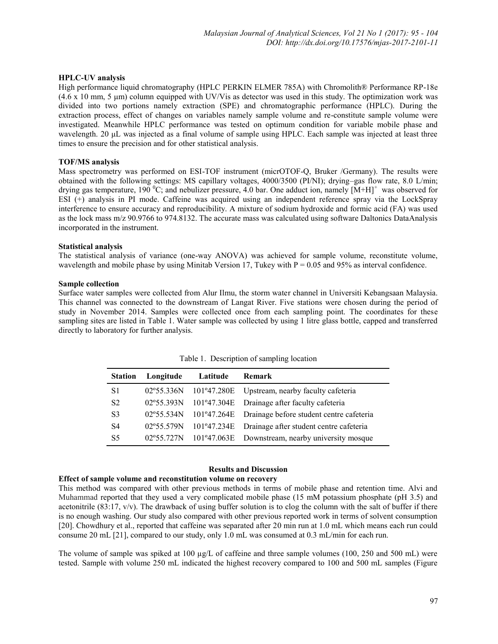#### **HPLC-UV analysis**

High performance liquid chromatography (HPLC PERKIN ELMER 785A) with Chromolith® Performance RP-18e (4.6 x 10 mm, 5 μm) column equipped with UV/Vis as detector was used in this study. The optimization work was divided into two portions namely extraction (SPE) and chromatographic performance (HPLC). During the extraction process, effect of changes on variables namely sample volume and re-constitute sample volume were investigated. Meanwhile HPLC performance was tested on optimum condition for variable mobile phase and wavelength. 20 μL was injected as a final volume of sample using HPLC. Each sample was injected at least three times to ensure the precision and for other statistical analysis.

## **TOF/MS analysis**

Mass spectrometry was performed on ESI-TOF instrument (micrOTOF-Q, Bruker /Germany). The results were obtained with the following settings: MS capillary voltages, 4000/3500 (PI/NI); drying–gas flow rate, 8.0 L/min; drying gas temperature, 190  $^{0}$ C; and nebulizer pressure, 4.0 bar. One adduct ion, namely  $[M+H]$ <sup>+</sup> was observed for ESI (+) analysis in PI mode. Caffeine was acquired using an independent reference spray via the LockSpray interference to ensure accuracy and reproducibility. A mixture of sodium hydroxide and formic acid (FA) was used as the lock mass m/z 90.9766 to 974.8132. The accurate mass was calculated using software Daltonics DataAnalysis incorporated in the instrument.

#### **Statistical analysis**

The statistical analysis of variance (one-way ANOVA) was achieved for sample volume, reconstitute volume, wavelength and mobile phase by using Minitab Version 17, Tukey with  $P = 0.05$  and 95% as interval confidence.

#### **Sample collection**

Surface water samples were collected from Alur Ilmu, the storm water channel in Universiti Kebangsaan Malaysia. This channel was connected to the downstream of Langat River. Five stations were chosen during the period of study in November 2014. Samples were collected once from each sampling point. The coordinates for these sampling sites are listed in Table 1. Water sample was collected by using 1 litre glass bottle, capped and transferred directly to laboratory for further analysis.

| <b>Station</b> | Longitude           | Latitude | <b>Remark</b>                                                   |
|----------------|---------------------|----------|-----------------------------------------------------------------|
| S1             | $02^{\circ}55.336N$ |          | 101°47.280E Upstream, nearby faculty cafeteria                  |
| S <sub>2</sub> | $02^{\circ}55.393N$ |          | 101°47.304E Drainage after faculty cafeteria                    |
| S <sub>3</sub> |                     |          | 02°55.534N 101°47.264E Drainage before student centre cafeteria |
| S <sub>4</sub> | $02^{\circ}55.579N$ |          | 101°47.234E Drainage after student centre cafeteria             |
| S <sub>5</sub> | $02^{\circ}55.727N$ |          | 101°47.063E Downstream, nearby university mosque                |
|                |                     |          |                                                                 |

Table 1. Description of sampling location

# **Results and Discussion**

# **Effect of sample volume and reconstitution volume on recovery**

This method was compared with other previous methods in terms of mobile phase and retention time. Alvi and Muhammad reported that they used a very complicated mobile phase (15 mM potassium phosphate (pH 3.5) and acetonitrile (83:17,  $v/v$ ). The drawback of using buffer solution is to clog the column with the salt of buffer if there is no enough washing. Our study also compared with other previous reported work in terms of solvent consumption [20]. Chowdhury et al., reported that caffeine was separated after 20 min run at 1.0 mL which means each run could consume 20 mL [21], compared to our study, only 1.0 mL was consumed at 0.3 mL/min for each run.

The volume of sample was spiked at 100 µg/L of caffeine and three sample volumes (100, 250 and 500 mL) were tested. Sample with volume 250 mL indicated the highest recovery compared to 100 and 500 mL samples (Figure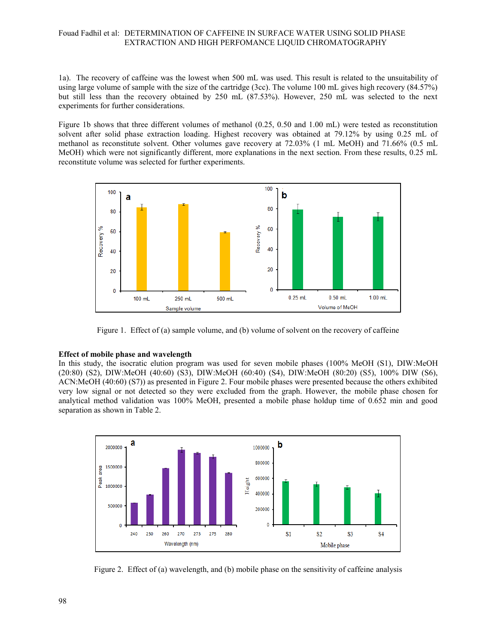1a). The recovery of caffeine was the lowest when 500 mL was used. This result is related to the unsuitability of using large volume of sample with the size of the cartridge (3cc). The volume 100 mL gives high recovery (84.57%) but still less than the recovery obtained by 250 mL (87.53%). However, 250 mL was selected to the next experiments for further considerations.

Figure 1b shows that three different volumes of methanol (0.25, 0.50 and 1.00 mL) were tested as reconstitution solvent after solid phase extraction loading. Highest recovery was obtained at 79.12% by using 0.25 mL of methanol as reconstitute solvent. Other volumes gave recovery at 72.03% (1 mL MeOH) and 71.66% (0.5 mL MeOH) which were not significantly different, more explanations in the next section. From these results, 0.25 mL reconstitute volume was selected for further experiments.



Figure 1. Effect of (a) sample volume, and (b) volume of solvent on the recovery of caffeine

#### **Effect of mobile phase and wavelength**

In this study, the isocratic elution program was used for seven mobile phases (100% MeOH (S1), DIW:MeOH (20:80) (S2), DIW:MeOH (40:60) (S3), DIW:MeOH (60:40) (S4), DIW:MeOH (80:20) (S5), 100% DIW (S6), ACN:MeOH (40:60) (S7)) as presented in Figure 2. Four mobile phases were presented because the others exhibited very low signal or not detected so they were excluded from the graph. However, the mobile phase chosen for analytical method validation was 100% MeOH, presented a mobile phase holdup time of 0.652 min and good separation as shown in Table 2.



Figure 2. Effect of (a) wavelength, and (b) mobile phase on the sensitivity of caffeine analysis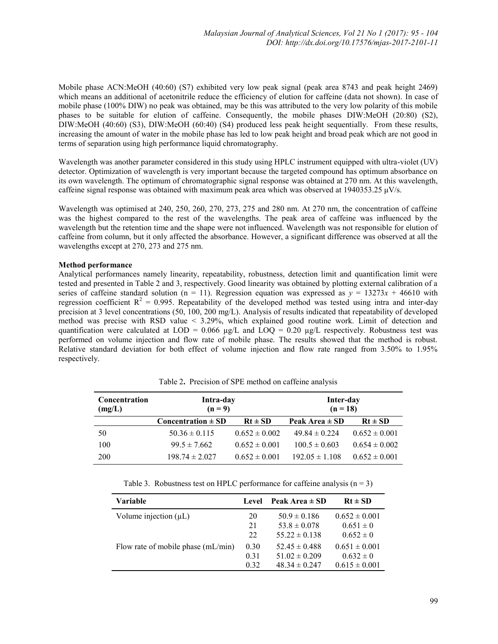Mobile phase ACN:MeOH (40:60) (S7) exhibited very low peak signal (peak area 8743 and peak height 2469) which means an additional of acetonitrile reduce the efficiency of elution for caffeine (data not shown). In case of mobile phase (100% DIW) no peak was obtained, may be this was attributed to the very low polarity of this mobile phases to be suitable for elution of caffeine. Consequently, the mobile phases DIW:MeOH (20:80) (S2), DIW:MeOH (40:60) (S3), DIW:MeOH (60:40) (S4) produced less peak height sequentially. From these results, increasing the amount of water in the mobile phase has led to low peak height and broad peak which are not good in terms of separation using high performance liquid chromatography.

Wavelength was another parameter considered in this study using HPLC instrument equipped with ultra-violet (UV) detector. Optimization of wavelength is very important because the targeted compound has optimum absorbance on its own wavelength. The optimum of chromatographic signal response was obtained at 270 nm. At this wavelength, caffeine signal response was obtained with maximum peak area which was observed at  $1940353.25 \mu V/s$ .

Wavelength was optimised at 240, 250, 260, 270, 273, 275 and 280 nm. At 270 nm, the concentration of caffeine was the highest compared to the rest of the wavelengths. The peak area of caffeine was influenced by the wavelength but the retention time and the shape were not influenced. Wavelength was not responsible for elution of caffeine from column, but it only affected the absorbance. However, a significant difference was observed at all the wavelengths except at 270, 273 and 275 nm.

#### **Method performance**

Analytical performances namely linearity, repeatability, robustness, detection limit and quantification limit were tested and presented in Table 2 and 3, respectively. Good linearity was obtained by plotting external calibration of a series of caffeine standard solution (n = 11). Regression equation was expressed as  $y = 13273x + 46610$  with regression coefficient  $R^2 = 0.995$ . Repeatability of the developed method was tested using intra and inter-day precision at 3 level concentrations (50, 100, 200 mg/L). Analysis of results indicated that repeatability of developed method was precise with RSD value < 3.29%, which explained good routine work. Limit of detection and quantification were calculated at LOD =  $0.066 \mu g/L$  and LOQ =  $0.20 \mu g/L$  respectively. Robustness test was performed on volume injection and flow rate of mobile phase. The results showed that the method is robust. Relative standard deviation for both effect of volume injection and flow rate ranged from 3.50% to 1.95% respectively.

| Concentration<br>(mg/L) | Intra-day<br>$(n=9)$   |                   | Inter-day<br>$(n = 18)$ |                   |  |  |  |
|-------------------------|------------------------|-------------------|-------------------------|-------------------|--|--|--|
|                         | Concentration $\pm$ SD | $Rt \pm SD$       | Peak Area $\pm$ SD      | $Rt \pm SD$       |  |  |  |
| 50                      | $50.36 \pm 0.115$      | $0.652 \pm 0.002$ | $49.84 \pm 0.224$       | $0.652 \pm 0.001$ |  |  |  |
| 100                     | $99.5 \pm 7.662$       | $0.652 \pm 0.001$ | $100.5 \pm 0.603$       | $0.654 \pm 0.002$ |  |  |  |
| 200                     | $198.74 \pm 2.027$     | $0.652 \pm 0.001$ | $192.05 \pm 1.108$      | $0.652 \pm 0.001$ |  |  |  |

Table 2**.** Precision of SPE method on caffeine analysis

Table 3. Robustness test on HPLC performance for caffeine analysis  $(n = 3)$ 

| Variable                             | Level | Peak Area $\pm$ SD | $Rt \pm SD$       |
|--------------------------------------|-------|--------------------|-------------------|
| Volume injection $(\mu L)$           | 20    | $50.9 \pm 0.186$   | $0.652 \pm 0.001$ |
|                                      | 21    | $53.8 \pm 0.078$   | $0.651 \pm 0$     |
|                                      | 22    | $55.22 \pm 0.138$  | $0.652 \pm 0$     |
| Flow rate of mobile phase $(mL/min)$ | 0.30  | $52.45 \pm 0.488$  | $0.651 \pm 0.001$ |
|                                      | 0.31  | $51.02 \pm 0.209$  | $0.632 \pm 0$     |
|                                      | 0.32  | $48.34 \pm 0.247$  | $0.615 \pm 0.001$ |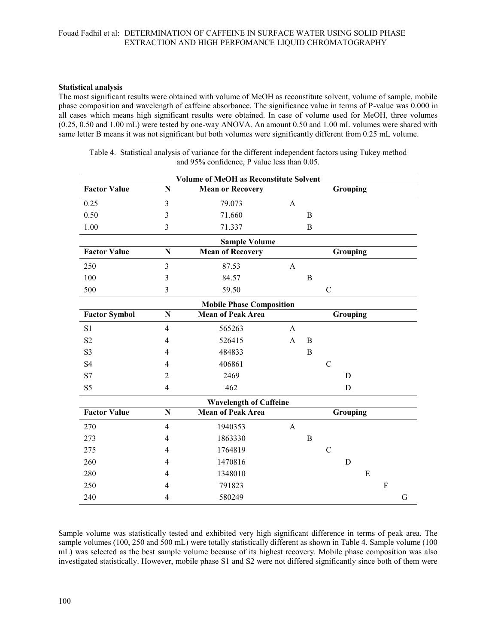### **Statistical analysis**

The most significant results were obtained with volume of MeOH as reconstitute solvent, volume of sample, mobile phase composition and wavelength of caffeine absorbance. The significance value in terms of P-value was 0.000 in all cases which means high significant results were obtained. In case of volume used for MeOH, three volumes (0.25, 0.50 and 1.00 mL) were tested by one-way ANOVA. An amount 0.50 and 1.00 mL volumes were shared with same letter B means it was not significant but both volumes were significantly different from 0.25 mL volume.

|                      |                | <b>Volume of MeOH as Reconstitute Solvent</b> |                |             |                |          |   |             |   |  |
|----------------------|----------------|-----------------------------------------------|----------------|-------------|----------------|----------|---|-------------|---|--|
| <b>Factor Value</b>  | $\mathbf N$    | <b>Mean or Recovery</b>                       |                |             |                | Grouping |   |             |   |  |
| 0.25                 | 3              | 79.073                                        | $\mathbf{A}$   |             |                |          |   |             |   |  |
| 0.50                 | $\overline{3}$ | 71.660                                        |                | $\mathbf B$ |                |          |   |             |   |  |
| 1.00                 | 3              | 71.337                                        |                | B           |                |          |   |             |   |  |
|                      |                | <b>Sample Volume</b>                          |                |             |                |          |   |             |   |  |
| <b>Factor Value</b>  | N              | <b>Mean of Recovery</b>                       |                |             |                | Grouping |   |             |   |  |
| 250                  | 3              | 87.53                                         | $\mathbf{A}$   |             |                |          |   |             |   |  |
| 100                  | 3              | 84.57                                         |                | B           |                |          |   |             |   |  |
| 500                  | 3              | 59.50                                         |                |             | $\mathcal{C}$  |          |   |             |   |  |
|                      |                | <b>Mobile Phase Composition</b>               |                |             |                |          |   |             |   |  |
| <b>Factor Symbol</b> | N              | <b>Mean of Peak Area</b>                      |                |             |                | Grouping |   |             |   |  |
| S1                   | $\overline{4}$ | 565263                                        | $\mathsf{A}$   |             |                |          |   |             |   |  |
| S <sub>2</sub>       | 4              | 526415                                        | $\mathsf{A}$   | B           |                |          |   |             |   |  |
| S <sub>3</sub>       | 4              | 484833                                        |                | B           |                |          |   |             |   |  |
| S4                   | 4              | 406861                                        |                |             | $\overline{C}$ |          |   |             |   |  |
| S7                   | $\overline{2}$ | 2469                                          |                |             |                | D        |   |             |   |  |
| S <sub>5</sub>       | $\overline{4}$ | 462                                           |                |             |                | D        |   |             |   |  |
|                      |                | <b>Wavelength of Caffeine</b>                 |                |             |                |          |   |             |   |  |
| <b>Factor Value</b>  | N              | <b>Mean of Peak Area</b>                      |                | Grouping    |                |          |   |             |   |  |
| 270                  | $\overline{4}$ | 1940353                                       | $\overline{A}$ |             |                |          |   |             |   |  |
| 273                  | 4              | 1863330                                       |                | B           |                |          |   |             |   |  |
| 275                  | 4              | 1764819                                       |                |             | $\mathcal{C}$  |          |   |             |   |  |
| 260                  | 4              | 1470816                                       |                |             |                | D        |   |             |   |  |
| 280                  | 4              | 1348010                                       |                |             |                |          | E |             |   |  |
| 250                  | 4              | 791823                                        |                |             |                |          |   | $\mathbf F$ |   |  |
| 240                  | $\overline{4}$ | 580249                                        |                |             |                |          |   |             | G |  |

Table 4. Statistical analysis of variance for the different independent factors using Tukey method and 95% confidence, P value less than 0.05.

Sample volume was statistically tested and exhibited very high significant difference in terms of peak area. The sample volumes (100, 250 and 500 mL) were totally statistically different as shown in Table 4. Sample volume (100 mL) was selected as the best sample volume because of its highest recovery. Mobile phase composition was also investigated statistically. However, mobile phase S1 and S2 were not differed significantly since both of them were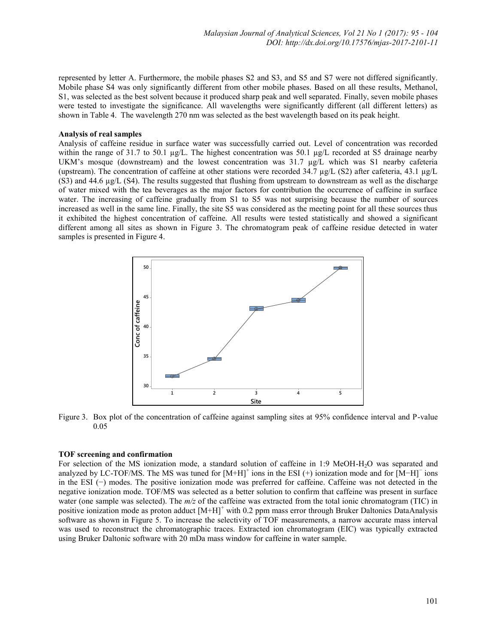represented by letter A. Furthermore, the mobile phases S2 and S3, and S5 and S7 were not differed significantly. Mobile phase S4 was only significantly different from other mobile phases. Based on all these results, Methanol, S1, was selected as the best solvent because it produced sharp peak and well separated. Finally, seven mobile phases were tested to investigate the significance. All wavelengths were significantly different (all different letters) as shown in Table 4. The wavelength 270 nm was selected as the best wavelength based on its peak height.

### **Analysis of real samples**

Analysis of caffeine residue in surface water was successfully carried out. Level of concentration was recorded within the range of 31.7 to 50.1  $\mu$ g/L. The highest concentration was 50.1  $\mu$ g/L recorded at S5 drainage nearby UKM's mosque (downstream) and the lowest concentration was 31.7 µg/L which was S1 nearby cafeteria (upstream). The concentration of caffeine at other stations were recorded 34.7  $\mu$ g/L (S2) after cafeteria, 43.1  $\mu$ g/L (S3) and 44.6 µg/L (S4). The results suggested that flushing from upstream to downstream as well as the discharge of water mixed with the tea beverages as the major factors for contribution the occurrence of caffeine in surface water. The increasing of caffeine gradually from S1 to S5 was not surprising because the number of sources increased as well in the same line. Finally, the site S5 was considered as the meeting point for all these sources thus it exhibited the highest concentration of caffeine. All results were tested statistically and showed a significant different among all sites as shown in Figure 3. The chromatogram peak of caffeine residue detected in water samples is presented in Figure 4.



Figure 3. Box plot of the concentration of caffeine against sampling sites at 95% confidence interval and P-value 0.05

#### **TOF screening and confirmation**

For selection of the MS ionization mode, a standard solution of caffeine in 1:9 MeOH-H<sub>2</sub>O was separated and analyzed by LC-TOF/MS. The MS was tuned for  $[M+H]$ <sup>+</sup> ions in the ESI (+) ionization mode and for  $[M-H]$ <sup>-</sup> ions in the ESI (−) modes. The positive ionization mode was preferred for caffeine. Caffeine was not detected in the negative ionization mode. TOF/MS was selected as a better solution to confirm that caffeine was present in surface water (one sample was selected). The  $m/z$  of the caffeine was extracted from the total ionic chromatogram (TIC) in positive ionization mode as proton adduct  $[M+H]^+$  with 0.2 ppm mass error through Bruker Daltonics DataAnalysis software as shown in Figure 5. To increase the selectivity of TOF measurements, a narrow accurate mass interval was used to reconstruct the chromatographic traces. Extracted ion chromatogram (EIC) was typically extracted using Bruker Daltonic software with 20 mDa mass window for caffeine in water sample.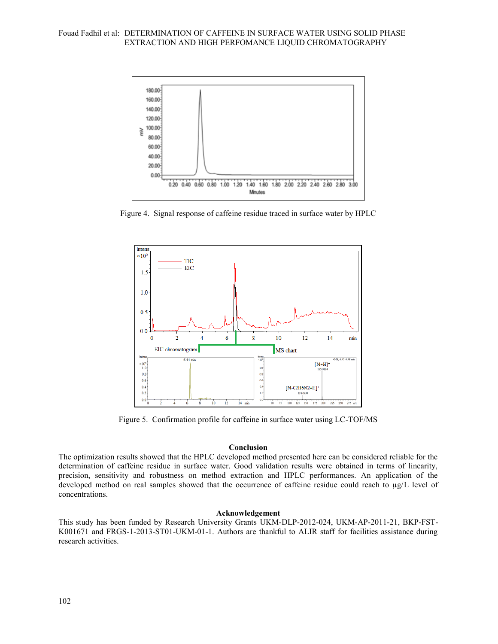

Figure 4. Signal response of caffeine residue traced in surface water by HPLC



Figure 5. Confirmation profile for caffeine in surface water using LC-TOF/MS

# **Conclusion**

The optimization results showed that the HPLC developed method presented here can be considered reliable for the determination of caffeine residue in surface water. Good validation results were obtained in terms of linearity, precision, sensitivity and robustness on method extraction and HPLC performances. An application of the developed method on real samples showed that the occurrence of caffeine residue could reach to µg/L level of concentrations.

### **Acknowledgement**

This study has been funded by Research University Grants UKM-DLP-2012-024, UKM-AP-2011-21, BKP-FST-K001671 and FRGS-1-2013-ST01-UKM-01-1. Authors are thankful to ALIR staff for facilities assistance during research activities.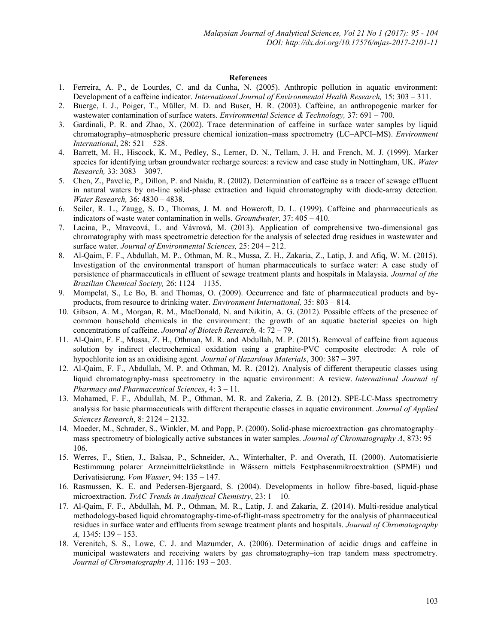#### **References**

- 1. Ferreira, A. P., de Lourdes, C. and da Cunha, N. (2005). Anthropic pollution in aquatic environment: Development of a caffeine indicator. *International Journal of Environmental Health Research,* 15: 303 – 311.
- 2. Buerge, I. J., Poiger, T., Müller, M. D. and Buser, H. R. (2003). Caffeine, an anthropogenic marker for wastewater contamination of surface waters. *Environmental Science & Technology,* 37: 691 – 700.
- 3. Gardinali, P. R. and Zhao, X. (2002). Trace determination of caffeine in surface water samples by liquid chromatography–atmospheric pressure chemical ionization–mass spectrometry (LC–APCI–MS). *Environment International*, 28: 521 – 528.
- 4. Barrett, M. H., Hiscock, K. M., Pedley, S., Lerner, D. N., Tellam, J. H. and French, M. J. (1999). Marker species for identifying urban groundwater recharge sources: a review and case study in Nottingham, UK. *Water Research,* 33: 3083 – 3097.
- 5. Chen, Z., Pavelic, P., Dillon, P. and Naidu, R. (2002). Determination of caffeine as a tracer of sewage effluent in natural waters by on-line solid-phase extraction and liquid chromatography with diode-array detection. *Water Research,* 36: 4830 – 4838.
- 6. Seiler, R. L., Zaugg, S. D., Thomas, J. M. and Howcroft, D. L. (1999). Caffeine and pharmaceuticals as indicators of waste water contamination in wells. *Groundwater,* 37: 405 – 410.
- 7. Lacina, P., Mravcová, L. and Vávrová, M. (2013). Application of comprehensive two-dimensional gas chromatography with mass spectrometric detection for the analysis of selected drug residues in wastewater and surface water. *Journal of Environmental Sciences,* 25: 204 – 212.
- 8. Al-Qaim, F. F., Abdullah, M. P., Othman, M. R., Mussa, Z. H., Zakaria, Z., Latip, J. and Afiq, W. M. (2015). Investigation of the environmental transport of human pharmaceuticals to surface water: A case study of persistence of pharmaceuticals in effluent of sewage treatment plants and hospitals in Malaysia. *Journal of the Brazilian Chemical Society,* 26: 1124 – 1135.
- 9. Mompelat, S., Le Bo, B. and Thomas, O. (2009). Occurrence and fate of pharmaceutical products and byproducts, from resource to drinking water. *Environment International,* 35: 803 – 814.
- 10. Gibson, A. M., Morgan, R. M., MacDonald, N. and Nikitin, A. G. (2012). Possible effects of the presence of common household chemicals in the environment: the growth of an aquatic bacterial species on high concentrations of caffeine. *Journal of Biotech Research,* 4: 72 – 79.
- 11. Al-Qaim, F. F., Mussa, Z. H., Othman, M. R. and Abdullah, M. P. (2015). Removal of caffeine from aqueous solution by indirect electrochemical oxidation using a graphite-PVC composite electrode: A role of hypochlorite ion as an oxidising agent. *Journal of Hazardous Materials*, 300: 387 – 397.
- 12. Al-Qaim, F. F., Abdullah, M. P. and Othman, M. R. (2012). Analysis of different therapeutic classes using liquid chromatography-mass spectrometry in the aquatic environment: A review. *International Journal of Pharmacy and Pharmaceutical Sciences*, 4: 3 – 11.
- 13. Mohamed, F. F., Abdullah, M. P., Othman, M. R. and Zakeria, Z. B. (2012). SPE-LC-Mass spectrometry analysis for basic pharmaceuticals with different therapeutic classes in aquatic environment. *Journal of Applied Sciences Research*, 8: 2124 – 2132.
- 14. Moeder, M., Schrader, S., Winkler, M. and Popp, P. (2000). Solid-phase microextraction–gas chromatography– mass spectrometry of biologically active substances in water samples. *Journal of Chromatography A*, 873: 95 – 106.
- 15. Werres, F., Stien, J., Balsaa, P., Schneider, A., Winterhalter, P. and Overath, H. (2000). Automatisierte Bestimmung polarer Arzneimittelrückstände in Wässern mittels Festphasenmikroextraktion (SPME) und Derivatisierung. *Vom Wasser*, 94: 135 – 147.
- 16. Rasmussen, K. E. and Pedersen-Bjergaard, S. (2004). Developments in hollow fibre-based, liquid-phase microextraction. *TrAC Trends in Analytical Chemistry*, 23: 1 – 10.
- 17. Al-Qaim, F. F., Abdullah, M. P., Othman, M. R., Latip, J. and Zakaria, Z. (2014). Multi-residue analytical methodology-based liquid chromatography-time-of-flight-mass spectrometry for the analysis of pharmaceutical residues in surface water and effluents from sewage treatment plants and hospitals. *Journal of Chromatography A,* 1345: 139 – 153.
- 18. Verenitch, S. S., Lowe, C. J. and Mazumder, A. (2006). Determination of acidic drugs and caffeine in municipal wastewaters and receiving waters by gas chromatography–ion trap tandem mass spectrometry. *Journal of Chromatography A,* 1116: 193 – 203.